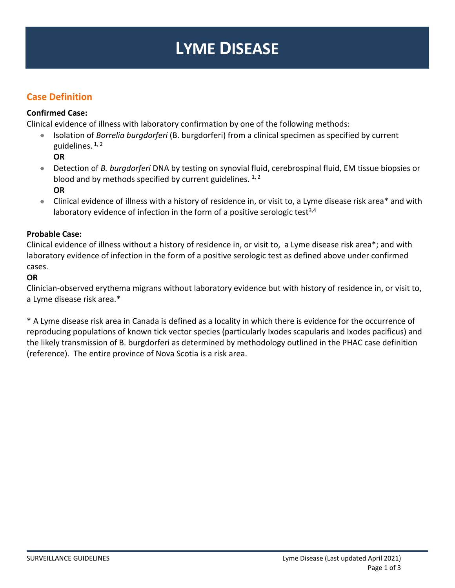# **LYME DISEASE**

# **Case Definition**

## **Confirmed Case:**

Clinical evidence of illness with laboratory confirmation by one of the following methods:

• Isolation of *Borrelia burgdorferi* (B. burgdorferi) from a clinical specimen as specified by current guidelines.  $1, 2$ 

**OR** 

- Detection of *B. burgdorferi* DNA by testing on synovial fluid, cerebrospinal fluid, EM tissue biopsies or blood and by methods specified by current guidelines.  $1, 2$ **OR**
- Clinical evidence of illness with a history of residence in, or visit to, a Lyme disease risk area\* and with laboratory evidence of infection in the form of a positive serologic test<sup>3,4</sup>

## **Probable Case:**

Clinical evidence of illness without a history of residence in, or visit to, a Lyme disease risk are[a\\*;](http://www.phac-aspc.gc.ca/publicat/ccdr-rmtc/09vol35/35s2/Lyme-eng.php#asterix) and with laboratory evidence of infection in the form of a positive serologic test as defined above under confirmed cases.

## **OR**

Clinician-observed erythema migrans without laboratory evidence but with history of residence in, or visit to, a Lyme disease risk area[.\\*](http://www.phac-aspc.gc.ca/publicat/ccdr-rmtc/09vol35/35s2/Lyme-eng.php#asterix)

\* A Lyme disease risk area in Canada is defined as a locality in which there is evidence for the occurrence of reproducing populations of known tick vector species (particularly Ixodes scapularis and Ixodes pacificus) and the likely transmission of B. burgdorferi as determined by methodology outlined in the PHAC case definition (reference). The entire province of Nova Scotia is a risk area.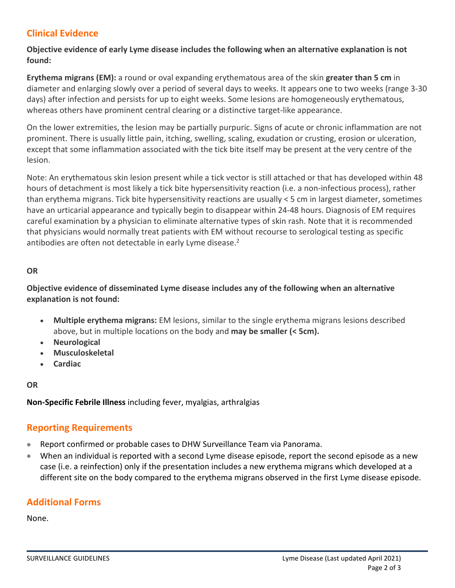# **Clinical Evidence**

## **Objective evidence of early Lyme disease includes the following when an alternative explanation is not found:**

**Erythema migrans (EM):** a round or oval expanding erythematous area of the skin **greater than 5 cm** in diameter and enlarging slowly over a period of several days to weeks. It appears one to two weeks (range 3-30 days) after infection and persists for up to eight weeks. Some lesions are homogeneously erythematous, whereas others have prominent central clearing or a distinctive target-like appearance.

On the lower extremities, the lesion may be partially purpuric. Signs of acute or chronic inflammation are not prominent. There is usually little pain, itching, swelling, scaling, exudation or crusting, erosion or ulceration, except that some inflammation associated with the tick bite itself may be present at the very centre of the lesion.

Note: An erythematous skin lesion present while a tick vector is still attached or that has developed within 48 hours of detachment is most likely a tick bite hypersensitivity reaction (i.e. a non-infectious process), rather than erythema migrans. Tick bite hypersensitivity reactions are usually < 5 cm in largest diameter, sometimes have an urticarial appearance and typically begin to disappear within 24-48 hours. Diagnosis of EM requires careful examination by a physician to eliminate alternative types of skin rash. Note that it is recommended that physicians would normally treat patients with EM without recourse to serological testing as specific antibodies are often not detectable in early Lyme disease.<sup>2</sup>

#### **OR**

## **Objective evidence of disseminated Lyme disease includes any of the following when an alternative explanation is not found:**

- **Multiple erythema migrans:** EM lesions, similar to the single erythema migrans lesions described above, but in multiple locations on the body and **may be smaller (< 5cm).**
- **Neurological**
- **Musculoskeletal**
- **Cardiac**

## **OR**

**Non-Specific Febrile Illness** including fever, myalgias, arthralgias

# **Reporting Requirements**

- Report confirmed or probable cases to DHW Surveillance Team via Panorama.
- When an individual is reported with a second Lyme disease episode, report the second episode as a new case (i.e. a reinfection) only if the presentation includes a new erythema migrans which developed at a different site on the body compared to the erythema migrans observed in the first Lyme disease episode.

# **Additional Forms**

None.